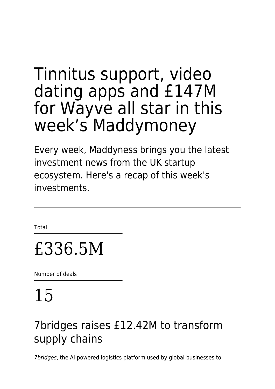# Tinnitus support, video dating apps and £147M for Wayve all star in this week's Maddymoney

Every week, Maddyness brings you the latest investment news from the UK startup ecosystem. Here's a recap of this week's investments.

Total

# £336.5M

Number of deals

# 15

## 7bridges raises £12.42M to transform supply chains

[7bridges](https://www.the7bridges.com/), the AI-powered logistics platform used by global businesses to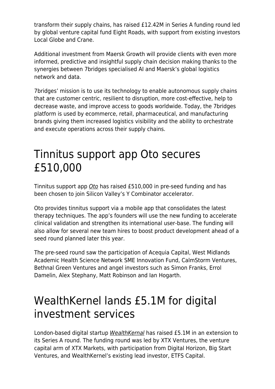transform their supply chains, has raised £12.42M in Series A funding round led by global venture capital fund Eight Roads, with support from existing investors Local Globe and Crane.

Additional investment from Maersk Growth will provide clients with even more informed, predictive and insightful supply chain decision making thanks to the synergies between 7bridges specialised AI and Maersk's global logistics network and data.

7bridges' mission is to use its technology to enable autonomous supply chains that are customer centric, resilient to disruption, more cost-effective, help to decrease waste, and improve access to goods worldwide. Today, the 7bridges platform is used by ecommerce, retail, pharmaceutical, and manufacturing brands giving them increased logistics visibility and the ability to orchestrate and execute operations across their supply chains.

#### Tinnitus support app Oto secures £510,000

Tinnitus support app [Oto](https://www.joinoto.com/) has raised £510,000 in pre-seed funding and has been chosen to join Silicon Valley's Y Combinator accelerator.

Oto provides tinnitus support via a mobile app that consolidates the latest therapy techniques. The app's founders will use the new funding to accelerate clinical validation and strengthen its international user-base. The funding will also allow for several new team hires to boost product development ahead of a seed round planned later this year.

The pre-seed round saw the participation of Acequia Capital, West Midlands Academic Health Science Network SME Innovation Fund, CalmStorm Ventures, Bethnal Green Ventures and angel investors such as Simon Franks, Errol Damelin, Alex Stephany, Matt Robinson and Ian Hogarth.

## WealthKernel lands £5.1M for digital investment services

London-based digital startup [WealthKernal](https://www.wealthkernel.com/) has raised £5.1M in an extension to its Series A round. The funding round was led by XTX Ventures, the venture capital arm of XTX Markets, with participation from Digital Horizon, Big Start Ventures, and WealthKernel's existing lead investor, ETFS Capital.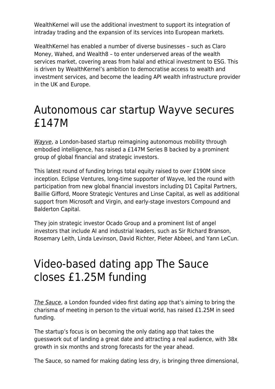WealthKernel will use the additional investment to support its integration of intraday trading and the expansion of its services into European markets.

WealthKernel has enabled a number of diverse businesses – such as Claro Money, Wahed, and Wealth8 – to enter underserved areas of the wealth services market, covering areas from halal and ethical investment to ESG. This is driven by WealthKernel's ambition to democratise access to wealth and investment services, and become the leading API wealth infrastructure provider in the UK and Europe.

#### Autonomous car startup Wayve secures £147M

[Wayve](https://wayve.ai/), a London-based startup reimagining autonomous mobility through embodied intelligence, has raised a £147M Series B backed by a prominent group of global financial and strategic investors.

This latest round of funding brings total equity raised to over £190M since inception. Eclipse Ventures, long-time supporter of Wayve, led the round with participation from new global financial investors including D1 Capital Partners, Baillie Gifford, Moore Strategic Ventures and Linse Capital, as well as additional support from Microsoft and Virgin, and early-stage investors Compound and Balderton Capital.

They join strategic investor Ocado Group and a prominent list of angel investors that include AI and industrial leaders, such as Sir Richard Branson, Rosemary Leith, Linda Levinson, David Richter, Pieter Abbeel, and Yann LeCun.

#### Video-based dating app The Sauce closes £1.25M funding

[The Sauce](https://thesauceapp.co/), a London founded video first dating app that's aiming to bring the charisma of meeting in person to the virtual world, has raised £1.25M in seed funding.

The startup's focus is on becoming the only dating app that takes the guesswork out of landing a great date and attracting a real audience, with 38x growth in six months and strong forecasts for the year ahead.

The Sauce, so named for making dating less dry, is bringing three dimensional,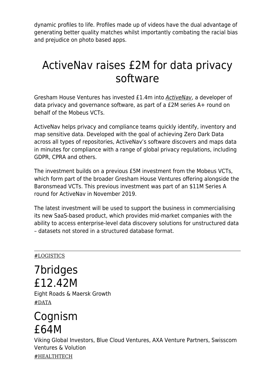dynamic profiles to life. Profiles made up of videos have the dual advantage of generating better quality matches whilst importantly combating the racial bias and prejudice on photo based apps.

#### ActiveNav raises £2M for data privacy software

Gresham House Ventures has invested £1.4m into [ActiveNav](https://activenav.com/), a developer of data privacy and governance software, as part of a £2M series A+ round on behalf of the Mobeus VCTs.

ActiveNav helps privacy and compliance teams quickly identify, inventory and map sensitive data. Developed with the goal of achieving Zero Dark Data across all types of repositories, ActiveNav's software discovers and maps data in minutes for compliance with a range of global privacy regulations, including GDPR, CPRA and others.

The investment builds on a previous £5M investment from the Mobeus VCTs, which form part of the broader Gresham House Ventures offering alongside the Baronsmead VCTs. This previous investment was part of an \$11M Series A round for ActiveNav in November 2019.

The latest investment will be used to support the business in commercialising its new SaaS-based product, which provides mid-market companies with the ability to access enterprise-level data discovery solutions for unstructured data – datasets not stored in a structured database format.

#### #LOGISTICS

7bridges £12.42M Eight Roads & Maersk Growth #DATA

#### Cognism £64M

Viking Global Investors, Blue Cloud Ventures, AXA Venture Partners, Swisscom Ventures & Volution #HEALTHTECH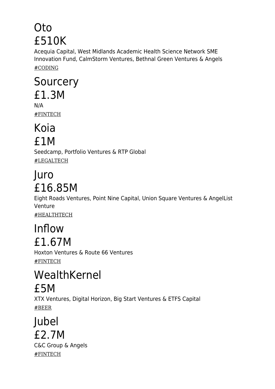# Oto £510K

Acequia Capital, West Midlands Academic Health Science Network SME Innovation Fund, CalmStorm Ventures, Bethnal Green Ventures & Angels #CODING

#### **Sourcery** £1.3M N/A

#FINTECH

#### Koia £1M

Seedcamp, Portfolio Ventures & RTP Global #LEGALTECH

# Juro £16.85M

Eight Roads Ventures, Point Nine Capital, Union Square Ventures & AngelList Venture #HEALTHTECH

#### Inflow £1.67M

Hoxton Ventures & Route 66 Ventures #FINTECH

## WealthKernel £5M

XTX Ventures, Digital Horizon, Big Start Ventures & ETFS Capital #BEER

Jubel £2.7M C&C Group & Angels #FINTECH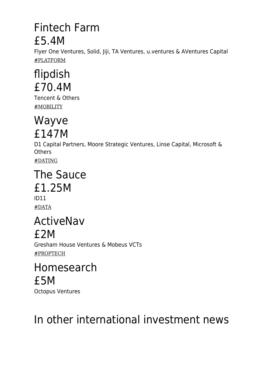#### Fintech Farm £5.4M

Flyer One Ventures, Solid, Jiji, TA Ventures, u.ventures & AVentures Capital #PLATFORM

# flipdish £70.4M

Tencent & Others #MOBILITY

#### Wayve £147M

D1 Capital Partners, Moore Strategic Ventures, Linse Capital, Microsoft & **Others** 

#DATING

#### The Sauce £1.25M ID11

#DATA

#### ActiveNav £2M

Gresham House Ventures & Mobeus VCTs #PROPTECH

#### Homesearch £5M

Octopus Ventures

# In other international investment news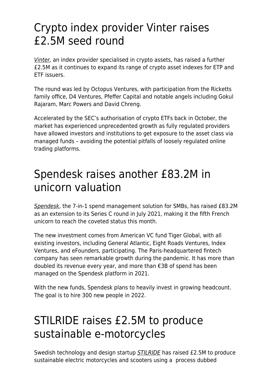#### Crypto index provider Vinter raises £2.5M seed round

[Vinter,](https://vinter.co/) an index provider specialised in crypto assets, has raised a further £2.5M as it continues to expand its range of crypto asset indexes for ETP and ETF issuers.

The round was led by Octopus Ventures, with participation from the Ricketts family office, D4 Ventures, Pfeffer Capital and notable angels including Gokul Rajaram, Marc Powers and David Chreng.

Accelerated by the SEC's authorisation of crypto ETFs back in October, the market has experienced unprecedented growth as fully regulated providers have allowed investors and institutions to get exposure to the asset class via managed funds – avoiding the potential pitfalls of loosely regulated online trading platforms.

#### Spendesk raises another £83.2M in unicorn valuation

[Spendesk](https://www.spendesk.com/en/), the 7-in-1 spend management solution for SMBs, has raised £83.2M as an extension to its Series C round in July 2021, making it the fifth French unicorn to reach the coveted status this month.

The new investment comes from American VC fund Tiger Global, with all existing investors, including General Atlantic, Eight Roads Ventures, Index Ventures, and eFounders, participating. The Paris-headquartered fintech company has seen remarkable growth during the pandemic. It has more than doubled its revenue every year, and more than €3B of spend has been managed on the Spendesk platform in 2021.

With the new funds, Spendesk plans to heavily invest in growing headcount. The goal is to hire 300 new people in 2022.

## STILRIDE raises £2.5M to produce sustainable e-motorcycles

Swedish technology and design startup **[STILRIDE](https://www.stilride.com/)** has raised £2.5M to produce sustainable electric motorcycles and scooters using a process dubbed